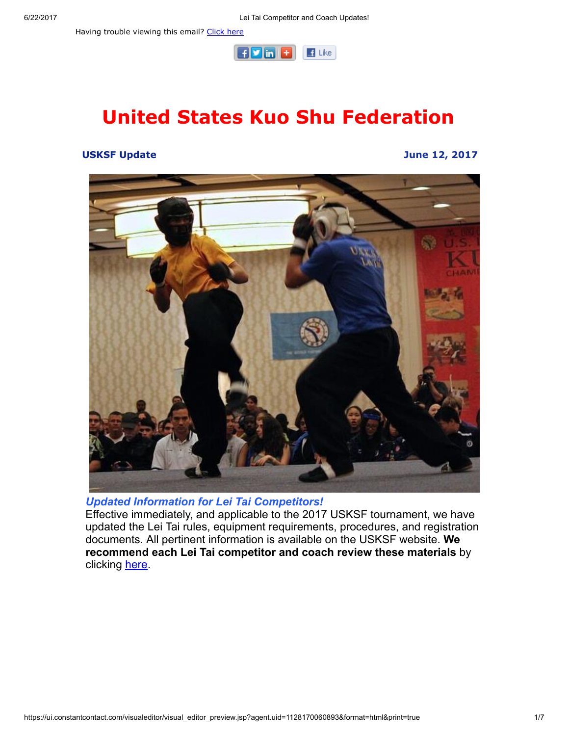

# United States Kuo Shu Federation

#### USKSF Update June 12, 2017



# Updated Information for Lei Tai Competitors!

Effective immediately, and applicable to the 2017 USKSF tournament, we have updated the Lei Tai rules, equipment requirements, procedures, and registration documents. All pertinent information is available on the USKSF website. We recommend each Lei Tai competitor and coach review these materials by clicking [here.](https://usksf.org/lei-tai/)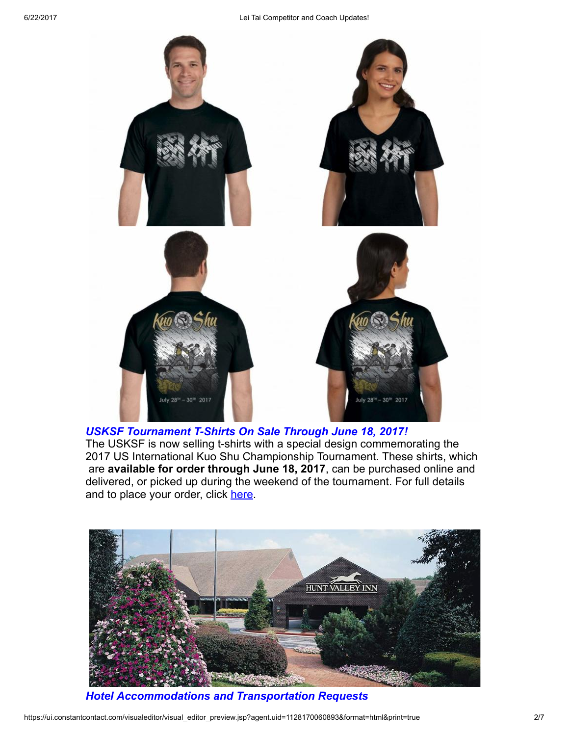

USKSF Tournament T-Shirts On Sale Through June 18, 2017! The USKSF is now selling t-shirts with a special design commemorating the 2017 US International Kuo Shu Championship Tournament. These shirts, which

are available for order through June 18, 2017, can be purchased online and delivered, or picked up during the weekend of the tournament. For full details and to place your order, click [here](https://usksf.org/tshirts/).



Hotel Accommodations and Transportation Requests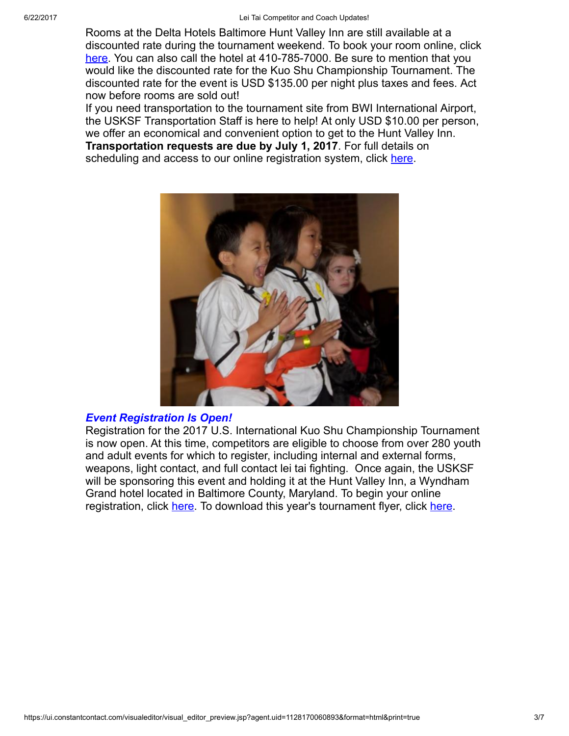Rooms at the Delta Hotels Baltimore Hunt Valley Inn are still available at a discounted rate during the tournament weekend. To book your room online, click [here](http://www.marriott.com/meeting-event-hotels/group-corporate-travel/groupCorp.mi?resLinkData=Kuo%20Shu%20Championship%20Tournament%5Ebwidh%60ks1ks1a%7Cks1ks1b%60135%60USD%60false%604%607/26/17%607/31/17%607/5/17&app=resvlink&stop_mobi=yes). You can also call the hotel at 410-785-7000. Be sure to mention that you would like the discounted rate for the Kuo Shu Championship Tournament. The discounted rate for the event is USD \$135.00 per night plus taxes and fees. Act now before rooms are sold out!

If you need transportation to the tournament site from BWI International Airport, the USKSF Transportation Staff is here to help! At only USD \$10.00 per person, we offer an economical and convenient option to get to the Hunt Valley Inn. Transportation requests are due by July 1, 2017. For full details on scheduling and access to our online registration system, click [here.](https://usksf.org/transportation-and-accommodations/)



#### Event Registration Is Open!

Registration for the 2017 U.S. International Kuo Shu Championship Tournament is now open. At this time, competitors are eligible to choose from over 280 youth and adult events for which to register, including internal and external forms, weapons, light contact, and full contact lei tai fighting. Once again, the USKSF will be sponsoring this event and holding it at the Hunt Valley Inn, a Wyndham Grand hotel located in Baltimore County, Maryland. To begin your online registration, click [here.](http://www.wu-kui-tang.com/usksf/registration/welcome.aspx) To download this year's tournament flyer, click [here](http://usksf.org/the-2017-kuo-shu-tournament-flyer-now-available/).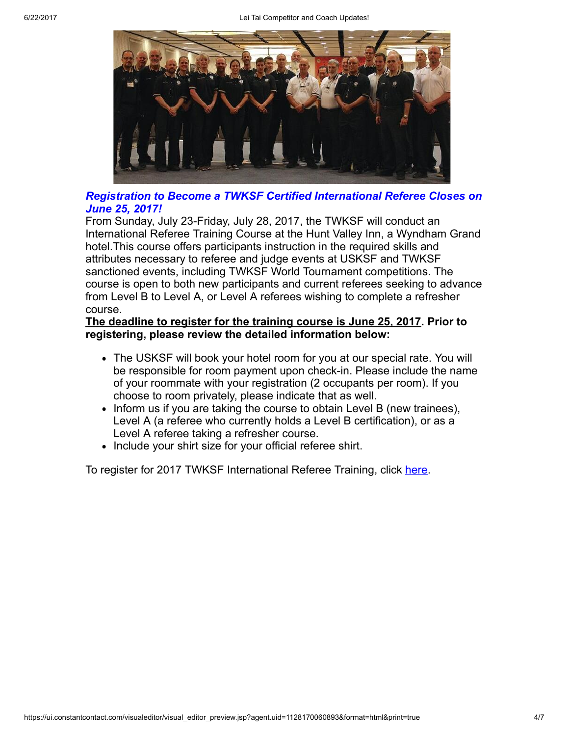

# Registration to Become a TWKSF Certified International Referee Closes on June 25, 2017!

From Sunday, July 23-Friday, July 28, 2017, the TWKSF will conduct an International Referee Training Course at the Hunt Valley Inn, a Wyndham Grand hotel.This course offers participants instruction in the required skills and attributes necessary to referee and judge events at USKSF and TWKSF sanctioned events, including TWKSF World Tournament competitions. The course is open to both new participants and current referees seeking to advance from Level B to Level A, or Level A referees wishing to complete a refresher course.

### The deadline to register for the training course is June 25, 2017. Prior to registering, please review the detailed information below:

- The USKSF will book your hotel room for you at our special rate. You will be responsible for room payment upon check-in. Please include the name of your roommate with your registration (2 occupants per room). If you choose to room privately, please indicate that as well.
- Inform us if you are taking the course to obtain Level B (new trainees), Level A (a referee who currently holds a Level B certification), or as a Level A referee taking a refresher course.
- Include your shirt size for your official referee shirt.

To register for 2017 TWKSF International Referee Training, click [here](http://www.wu-kui-tang.com/usksf/registration/welcome.aspx).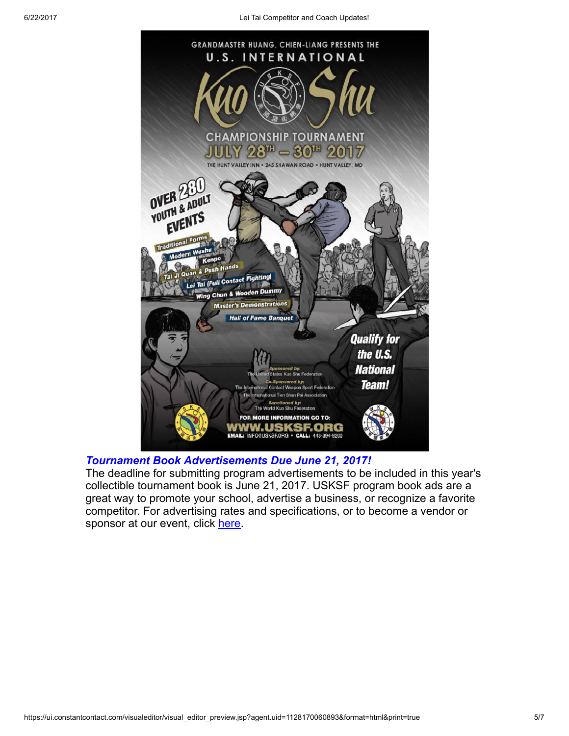

# Tournament Book Advertisements Due June 21, 2017!

The deadline for submitting program advertisements to be included in this year's collectible tournament book is June 21, 2017. USKSF program book ads are a great way to promote your school, advertise a business, or recognize a favorite competitor. For advertising rates and specifications, or to become a vendor or sponsor at our event, click [here](https://usksf.org/tournament-book-advertisement/).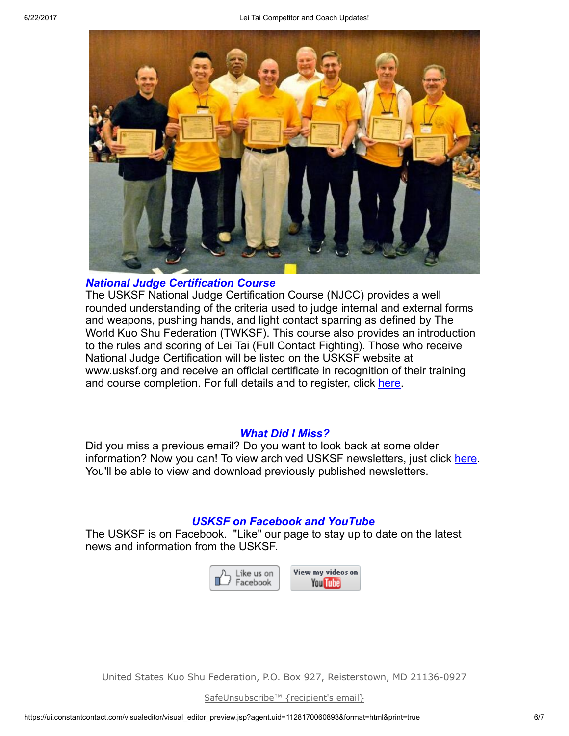

#### National Judge Certification Course

The USKSF National Judge Certification Course (NJCC) provides a well rounded understanding of the criteria used to judge internal and external forms and weapons, pushing hands, and light contact sparring as defined by The World Kuo Shu Federation (TWKSF). This course also provides an introduction to the rules and scoring of Lei Tai (Full Contact Fighting). Those who receive National Judge Certification will be listed on the USKSF website at www.usksf.org and receive an official certificate in recognition of their training and course completion. For full details and to register, click [here.](https://usksf.org/judge-certification/)

#### What Did I Miss?

Did you miss a previous email? Do you want to look back at some older information? Now you can! To view archived USKSF newsletters, just click [here](https://usksf.org/usksf-newsletters/). You'll be able to view and download previously published newsletters.

# USKSF on Facebook and YouTube

The USKSF is on Facebook. "Like" our page to stay up to date on the latest news and information from the USKSF.



United States Kuo Shu Federation, P.O. Box 927, Reisterstown, MD 21136-0927

[SafeUnsubscribe™](https://visitor.constantcontact.com/do?p=un&mse=001nQUq2GTjwCgIZ6GenC9yuXfcyEasq3mD&t=001rmnKtpTQiwqOKnwooH7SXA%3D%3D&id=001b-xBWU3VMke7CkPQEtiexQoh2WWd6pY4&llr=sohmwicab) {recipient's email}